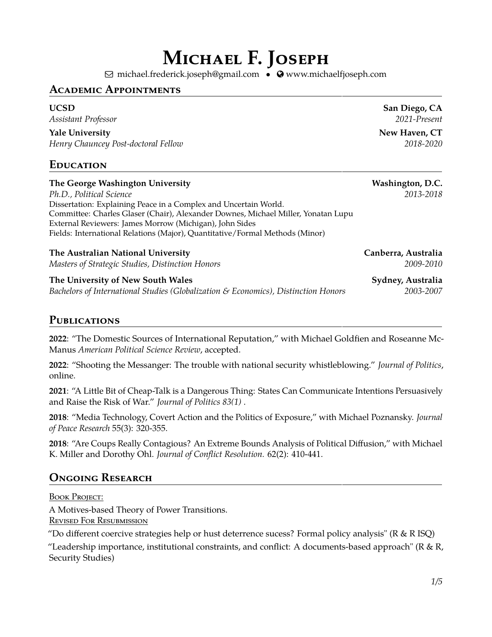# **Michael F. Joseph**

⊠ [michael.frederick.joseph@gmail.com](mailto: michael.frederick.joseph@gmail.com) • © [www.michaelfjoseph.com](http://www.michaelfjoseph.com)

## **Academic Appointments**

*Assistant Professor 2021-Present*

**The Victor State University CT** and Mew Haven, CT

*Henry Chauncey Post-doctoral Fellow 2018-2020*

## **Education**

| The George Washington University<br>Ph.D., Political Science<br>Dissertation: Explaining Peace in a Complex and Uncertain World.<br>Committee: Charles Glaser (Chair), Alexander Downes, Michael Miller, Yonatan Lupu<br>External Reviewers: James Morrow (Michigan), John Sides | Washington, D.C.<br>2013-2018    |
|----------------------------------------------------------------------------------------------------------------------------------------------------------------------------------------------------------------------------------------------------------------------------------|----------------------------------|
| Fields: International Relations (Major), Quantitative/Formal Methods (Minor)<br>The Australian National University<br>Masters of Strategic Studies, Distinction Honors                                                                                                           | Canberra, Australia<br>2009-2010 |

**The University of New South Wales Sydney, Australia** *Bachelors of International Studies (Globalization & Economics), Distinction Honors 2003-2007*

## **Publications**

**2022**: "The Domestic Sources of International Reputation," with Michael Goldfien and Roseanne Mc-Manus *American Political Science Review*, accepted.

**2022**: "Shooting the Messanger: The trouble with national security whistleblowing." *Journal of Politics*, online.

**2021**: "A Little Bit of Cheap-Talk is a Dangerous Thing: States Can Communicate Intentions Persuasively and Raise the Risk of War." *Journal of Politics 83(1)* .

**2018**: "Media Technology, Covert Action and the Politics of Exposure," with Michael Poznansky. *Journal of Peace Research* 55(3): 320-355.

**2018**: "Are Coups Really Contagious? An Extreme Bounds Analysis of Political Diffusion," with Michael K. Miller and Dorothy Ohl. *Journal of Conflict Resolution.* 62(2): 410-441.

# **Ongoing Research**

BOOK PROJECT: A Motives-based Theory of Power Transitions. Revised For Resubmission

"Do different coercive strategies help or hust deterrence sucess? Formal policy analysis" ( $R \& R ISQ$ )

"Leadership importance, institutional constraints, and conflict: A documents-based approach" ( $R \& R$ , Security Studies)

**UCSD San Diego, CA**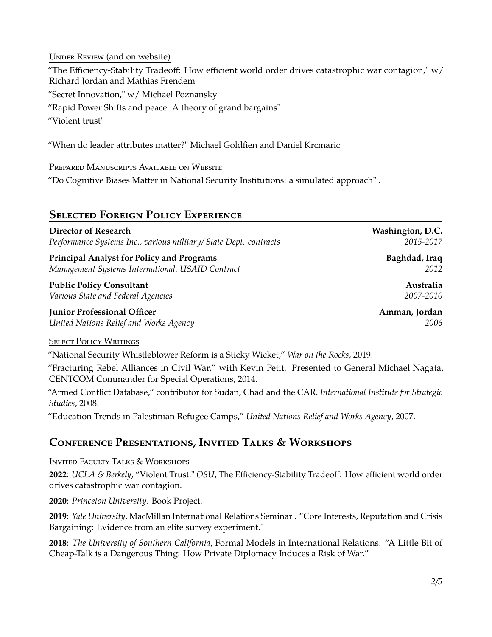UNDER REVIEW (and on website) "The Efficiency-Stability Tradeoff: How efficient world order drives catastrophic war contagion," w/ Richard Jordan and Mathias Frendem "Secret Innovation," w/ Michael Poznansky "Rapid Power Shifts and peace: A theory of grand bargains" "Violent trust"

"When do leader attributes matter?" Michael Goldfien and Daniel Krcmaric

Prepared Manuscripts Available on Website

"Do Cognitive Biases Matter in National Security Institutions: a simulated approach" .

## **Selected Foreign Policy Experience**

| <b>Director of Research</b>                                       | Washington, D.C. |
|-------------------------------------------------------------------|------------------|
| Performance Systems Inc., various military/ State Dept. contracts | 2015-2017        |
| <b>Principal Analyst for Policy and Programs</b>                  | Baghdad, Iraq    |
| Management Systems International, USAID Contract                  | 2012             |
| <b>Public Policy Consultant</b>                                   | Australia        |
| Various State and Federal Agencies                                | 2007-2010        |
| <b>Junior Professional Officer</b>                                | Amman, Jordan    |
| United Nations Relief and Works Agency                            | 2006             |
| <b>SELECT POLICY WRITINGS</b>                                     |                  |

"National Security Whistleblower Reform is a Sticky Wicket," *War on the Rocks*, 2019.

"Fracturing Rebel Alliances in Civil War," with Kevin Petit. Presented to General Michael Nagata, CENTCOM Commander for Special Operations, 2014.

"Armed Conflict Database," contributor for Sudan, Chad and the CAR. *International Institute for Strategic Studies*, 2008.

"Education Trends in Palestinian Refugee Camps," *United Nations Relief and Works Agency*, 2007.

# **Conference Presentations, Invited Talks & Workshops**

Invited Faculty Talks & Workshops

**2022**: *UCLA & Berkely*, "Violent Trust." *OSU*, The Efficiency-Stability Tradeoff: How efficient world order drives catastrophic war contagion.

**2020**: *Princeton University*. Book Project.

**2019**: *Yale University*, MacMillan International Relations Seminar . "Core Interests, Reputation and Crisis Bargaining: Evidence from an elite survey experiment."

**2018**: *The University of Southern California*, Formal Models in International Relations. "A Little Bit of Cheap-Talk is a Dangerous Thing: How Private Diplomacy Induces a Risk of War."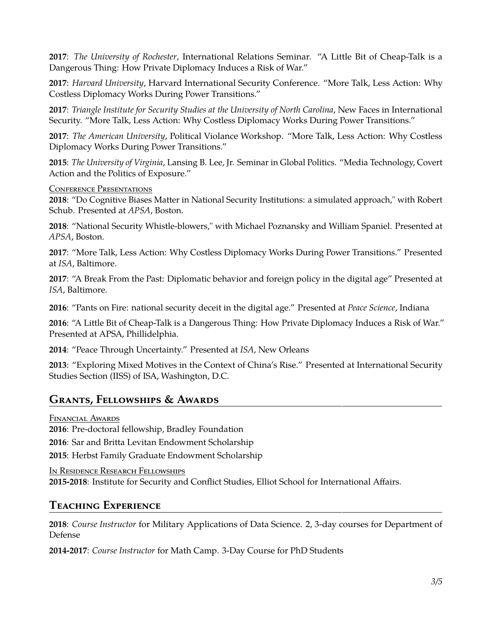**2017**: *The University of Rochester*, International Relations Seminar. "A Little Bit of Cheap-Talk is a Dangerous Thing: How Private Diplomacy Induces a Risk of War."

**2017**: *Harvard University*, Harvard International Security Conference. "More Talk, Less Action: Why Costless Diplomacy Works During Power Transitions."

**2017**: *Triangle Institute for Security Studies at the University of North Carolina*, New Faces in International Security. "More Talk, Less Action: Why Costless Diplomacy Works During Power Transitions."

**2017**: *The American University*, Political Violance Workshop. "More Talk, Less Action: Why Costless Diplomacy Works During Power Transitions."

**2015**: *The University of Virginia*, Lansing B. Lee, Jr. Seminar in Global Politics. "Media Technology, Covert Action and the Politics of Exposure."

Conference Presentations

**2018**: "Do Cognitive Biases Matter in National Security Institutions: a simulated approach," with Robert Schub. Presented at *APSA*, Boston.

**2018**: "National Security Whistle-blowers," with Michael Poznansky and William Spaniel. Presented at *APSA*, Boston.

**2017**: "More Talk, Less Action: Why Costless Diplomacy Works During Power Transitions." Presented at *ISA*, Baltimore.

**2017**: "A Break From the Past: Diplomatic behavior and foreign policy in the digital age" Presented at *ISA*, Baltimore.

**2016**: "Pants on Fire: national security deceit in the digital age." Presented at *Peace Science*, Indiana

**2016**: "A Little Bit of Cheap-Talk is a Dangerous Thing: How Private Diplomacy Induces a Risk of War." Presented at APSA, Phillidelphia.

**2014**: "Peace Through Uncertainty." Presented at *ISA*, New Orleans

**2013**: "Exploring Mixed Motives in the Context of China's Rise." Presented at International Security Studies Section (IISS) of ISA, Washington, D.C.

## **Grants, Fellowships & Awards**

Financial Awards

**2016**: Pre-doctoral fellowship, Bradley Foundation

**2016**: Sar and Britta Levitan Endowment Scholarship

**2015**: Herbst Family Graduate Endowment Scholarship

In Residence Research Fellowships **2015-2018**: Institute for Security and Conflict Studies, Elliot School for International Affairs.

# **Teaching Experience**

**2018**: *Course Instructor* for Military Applications of Data Science. 2, 3-day courses for Department of Defense

**2014-2017**: *Course Instructor* for Math Camp. 3-Day Course for PhD Students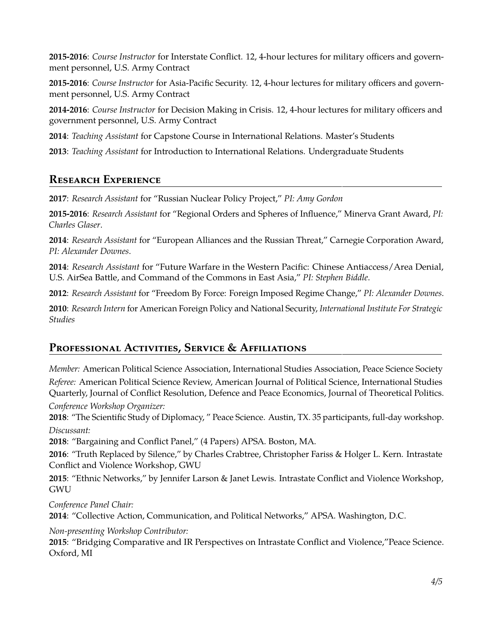**2015-2016**: *Course Instructor* for Interstate Conflict. 12, 4-hour lectures for military officers and government personnel, U.S. Army Contract

**2015-2016**: *Course Instructor* for Asia-Pacific Security. 12, 4-hour lectures for military officers and government personnel, U.S. Army Contract

**2014-2016**: *Course Instructor* for Decision Making in Crisis. 12, 4-hour lectures for military officers and government personnel, U.S. Army Contract

**2014**: *Teaching Assistant* for Capstone Course in International Relations. Master's Students

**2013**: *Teaching Assistant* for Introduction to International Relations. Undergraduate Students

# **Research Experience**

**2017**: *Research Assistant* for "Russian Nuclear Policy Project," *PI: Amy Gordon*

**2015-2016**: *Research Assistant* for "Regional Orders and Spheres of Influence," Minerva Grant Award, *PI: Charles Glaser*.

**2014**: *Research Assistant* for "European Alliances and the Russian Threat," Carnegie Corporation Award, *PI: Alexander Downes*.

**2014**: *Research Assistant* for "Future Warfare in the Western Pacific: Chinese Antiaccess/Area Denial, U.S. AirSea Battle, and Command of the Commons in East Asia," *PI: Stephen Biddle*.

**2012**: *Research Assistant* for "Freedom By Force: Foreign Imposed Regime Change," *PI: Alexander Downes*.

**2010**: *Research Intern* for American Foreign Policy and National Security, *International Institute For Strategic Studies*

# **Professional Activities, Service & Affiliations**

*Member:* American Political Science Association, International Studies Association, Peace Science Society

*Referee:* American Political Science Review, American Journal of Political Science, International Studies Quarterly, Journal of Conflict Resolution, Defence and Peace Economics, Journal of Theoretical Politics. *Conference Workshop Organizer:*

**2018**: "The Scientific Study of Diplomacy, " Peace Science. Austin, TX. 35 participants, full-day workshop. *Discussant:*

**2018**: "Bargaining and Conflict Panel," (4 Papers) APSA. Boston, MA.

**2016**: "Truth Replaced by Silence," by Charles Crabtree, Christopher Fariss & Holger L. Kern. Intrastate Conflict and Violence Workshop, GWU

**2015**: "Ethnic Networks," by Jennifer Larson & Janet Lewis. Intrastate Conflict and Violence Workshop, GWU

*Conference Panel Chair:* **2014**: "Collective Action, Communication, and Political Networks," APSA. Washington, D.C.

*Non-presenting Workshop Contributor:*

**2015**: "Bridging Comparative and IR Perspectives on Intrastate Conflict and Violence,"Peace Science. Oxford, MI